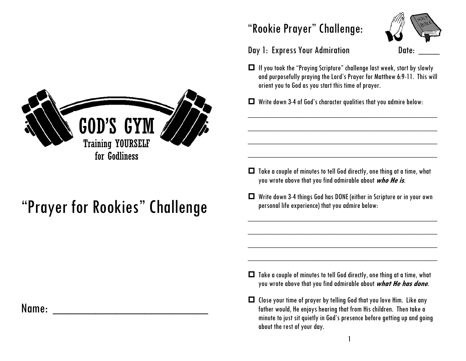

# "Prayer for Rookies" Challenge

Name:

## "Rookie Prayer" Challenge:



#### Day 1: Express Your Admiration Date:

 If you took the "Praying Scripture" challenge last week, start by slowly and purposefully praying the Lord's Prayer for Matthew 6:9-11. This will orient you to God as you start this time of prayer.

\_\_\_\_\_\_\_\_\_\_\_\_\_\_\_\_\_\_\_\_\_\_\_\_\_\_\_\_\_\_\_\_\_\_\_\_\_\_\_\_\_\_\_\_\_\_

\_\_\_\_\_\_\_\_\_\_\_\_\_\_\_\_\_\_\_\_\_\_\_\_\_\_\_\_\_\_\_\_\_\_\_\_\_\_\_\_\_\_\_\_\_\_

\_\_\_\_\_\_\_\_\_\_\_\_\_\_\_\_\_\_\_\_\_\_\_\_\_\_\_\_\_\_\_\_\_\_\_\_\_\_\_\_\_\_\_\_\_\_

\_\_\_\_\_\_\_\_\_\_\_\_\_\_\_\_\_\_\_\_\_\_\_\_\_\_\_\_\_\_\_\_\_\_\_\_\_\_\_\_\_\_\_\_\_\_

Write down 3-4 of God's character qualities that you admire below:

- $\Box$  Take a couple of minutes to tell God directly, one thing at a time, what you wrote above that you find admirable about **who He is**.
- Write down 3-4 things God has DONE (either in Scripture or in your own personal life experience) that you admire below:

\_\_\_\_\_\_\_\_\_\_\_\_\_\_\_\_\_\_\_\_\_\_\_\_\_\_\_\_\_\_\_\_\_\_\_\_\_\_\_\_\_\_\_\_\_\_

\_\_\_\_\_\_\_\_\_\_\_\_\_\_\_\_\_\_\_\_\_\_\_\_\_\_\_\_\_\_\_\_\_\_\_\_\_\_\_\_\_\_\_\_\_\_

\_\_\_\_\_\_\_\_\_\_\_\_\_\_\_\_\_\_\_\_\_\_\_\_\_\_\_\_\_\_\_\_\_\_\_\_\_\_\_\_\_\_\_\_\_\_

\_\_\_\_\_\_\_\_\_\_\_\_\_\_\_\_\_\_\_\_\_\_\_\_\_\_\_\_\_\_\_\_\_\_\_\_\_\_\_\_\_\_\_\_\_\_

- $\Box$  Take a couple of minutes to tell God directly, one thing at a time, what you wrote above that you find admirable about **what He has done**.
- $\Box$  Close your time of prayer by telling God that you love Him. Like any father would, He enjoys hearing that from His children. Then take a minute to just sit quietly in God's presence before getting up and going about the rest of your day.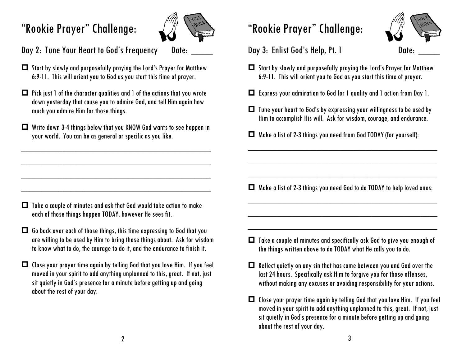# "Rookie Prayer" Challenge:



Day 2: Tune Your Heart to God's Frequency Date:

- Start by slowly and purposefully praying the Lord's Prayer for Matthew 6:9-11. This will orient you to God as you start this time of prayer.
- $\Box$  Pick just 1 of the character qualities and 1 of the actions that you wrote down yesterday that cause you to admire God, and tell Him again how much you admire Him for those things.
- Write down 3-4 things below that you KNOW God wants to see happen in your world. You can be as general or specific as you like.

 $\overline{\phantom{a}}$  , and the contract of the contract of the contract of the contract of the contract of the contract of the contract of the contract of the contract of the contract of the contract of the contract of the contrac

 $\overline{\phantom{a}}$  , and the contract of the contract of the contract of the contract of the contract of the contract of the contract of the contract of the contract of the contract of the contract of the contract of the contrac

 $\overline{\phantom{a}}$  , and the contract of the contract of the contract of the contract of the contract of the contract of the contract of the contract of the contract of the contract of the contract of the contract of the contrac

 $\overline{\phantom{a}}$  , which is a set of the set of the set of the set of the set of the set of the set of the set of the set of the set of the set of the set of the set of the set of the set of the set of the set of the set of th

### "Rookie Prayer" Challenge:



Day 3: Enlist God's Help, Pt. 1 Date:

- Start by slowly and purposefully praying the Lord's Prayer for Matthew 6:9-11. This will orient you to God as you start this time of prayer.
- Express your admiration to God for 1 quality and 1 action from Day 1.
- $\Box$  Tune your heart to God's by expressing your willingness to be used by Him to accomplish His will. Ask for wisdom, courage, and endurance.

\_\_\_\_\_\_\_\_\_\_\_\_\_\_\_\_\_\_\_\_\_\_\_\_\_\_\_\_\_\_\_\_\_\_\_\_\_\_\_\_\_\_\_\_\_\_

\_\_\_\_\_\_\_\_\_\_\_\_\_\_\_\_\_\_\_\_\_\_\_\_\_\_\_\_\_\_\_\_\_\_\_\_\_\_\_\_\_\_\_\_\_\_

\_\_\_\_\_\_\_\_\_\_\_\_\_\_\_\_\_\_\_\_\_\_\_\_\_\_\_\_\_\_\_\_\_\_\_\_\_\_\_\_\_\_\_\_\_\_

Make a list of 2-3 things you need from God TODAY (for yourself):

Make a list of 2-3 things you need God to do TODAY to help loved ones:

\_\_\_\_\_\_\_\_\_\_\_\_\_\_\_\_\_\_\_\_\_\_\_\_\_\_\_\_\_\_\_\_\_\_\_\_\_\_\_\_\_\_\_\_\_\_

\_\_\_\_\_\_\_\_\_\_\_\_\_\_\_\_\_\_\_\_\_\_\_\_\_\_\_\_\_\_\_\_\_\_\_\_\_\_\_\_\_\_\_\_\_\_

\_\_\_\_\_\_\_\_\_\_\_\_\_\_\_\_\_\_\_\_\_\_\_\_\_\_\_\_\_\_\_\_\_\_\_\_\_\_\_\_\_\_\_\_\_\_

- $\Box$  Take a couple of minutes and ask that God would take action to make each of those things happen TODAY, however He sees fit.
- $\Box$  Go back over each of those things, this time expressing to God that you are willing to be used by Him to bring those things about. Ask for wisdom to know what to do, the courage to do it, and the endurance to finish it.
- Close your prayer time again by telling God that you love Him. If you feel moved in your spirit to add anything unplanned to this, great. If not, just sit quietly in God's presence for a minute before getting up and going about the rest of your day.
- $\Box$  Take a couple of minutes and specifically ask God to give you enough of the things written above to do TODAY what He calls you to do.
- $\Box$  Reflect quietly on any sin that has come between you and God over the last 24 hours. Specifically ask Him to forgive you for those offenses, without making any excuses or avoiding responsibility for your actions.
- Close your prayer time again by telling God that you love Him. If you feel moved in your spirit to add anything unplanned to this, great. If not, just sit quietly in God's presence for a minute before getting up and going about the rest of your day.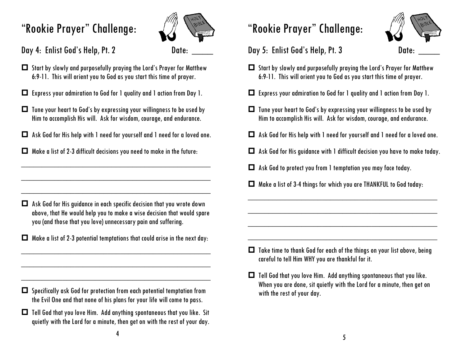# "Rookie Prayer" Challenge:



- Day 4: Enlist God's Help, Pt. 2 Date:
- Start by slowly and purposefully praying the Lord's Prayer for Matthew 6:9-11. This will orient you to God as you start this time of prayer.
- Express your admiration to God for 1 quality and 1 action from Day 1.
- $\Box$  Tune your heart to God's by expressing your willingness to be used by Him to accomplish His will. Ask for wisdom, courage, and endurance.
- Ask God for His help with 1 need for yourself and 1 need for a loved one.

 $\overline{\phantom{a}}$  , which is a set of the set of the set of the set of the set of the set of the set of the set of the set of the set of the set of the set of the set of the set of the set of the set of the set of the set of th

 $\overline{\phantom{a}}$  , which is a set of the set of the set of the set of the set of the set of the set of the set of the set of the set of the set of the set of the set of the set of the set of the set of the set of the set of th

 $\overline{\phantom{a}}$  , and the contract of the contract of the contract of the contract of the contract of the contract of the contract of the contract of the contract of the contract of the contract of the contract of the contrac

 $\Box$  Make a list of 2-3 difficult decisions you need to make in the future:

- Ask God for His guidance in each specific decision that you wrote down above, that He would help you to make a wise decision that would spare you (and those that you love) unnecessary pain and suffering.
- $\Box$  Make a list of 2-3 potential temptations that could arise in the next day:

 $\overline{\phantom{a}}$  , which is a set of the set of the set of the set of the set of the set of the set of the set of the set of the set of the set of the set of the set of the set of the set of the set of the set of the set of th

 $\overline{\phantom{a}}$  , which is a set of the set of the set of the set of the set of the set of the set of the set of the set of the set of the set of the set of the set of the set of the set of the set of the set of the set of th

 $\overline{\phantom{a}}$  , which is a set of the set of the set of the set of the set of the set of the set of the set of the set of the set of the set of the set of the set of the set of the set of the set of the set of the set of th

- Specifically ask God for protection from each potential temptation from the Evil One and that none of his plans for your life will come to pass.
- $\Box$  Tell God that you love Him. Add anything spontaneous that you like. Sit quietly with the Lord for a minute, then get on with the rest of your day.

#### "Rookie Prayer" Challenge:



#### Day 5: Enlist God's Help, Pt. 3 Date:

- Start by slowly and purposefully praying the Lord's Prayer for Matthew 6:9-11. This will orient you to God as you start this time of prayer.
- Express your admiration to God for 1 quality and 1 action from Day 1.
- $\Box$  Tune your heart to God's by expressing your willingness to be used by Him to accomplish His will. Ask for wisdom, courage, and endurance.
- Ask God for His help with 1 need for yourself and 1 need for a loved one.
- Ask God for His guidance with 1 difficult decision you have to make today.
- Ask God to protect you from 1 temptation you may face today.
- Make a list of 3-4 things for which you are THANKFUL to God today:

\_\_\_\_\_\_\_\_\_\_\_\_\_\_\_\_\_\_\_\_\_\_\_\_\_\_\_\_\_\_\_\_\_\_\_\_\_\_\_\_\_\_\_\_\_\_

\_\_\_\_\_\_\_\_\_\_\_\_\_\_\_\_\_\_\_\_\_\_\_\_\_\_\_\_\_\_\_\_\_\_\_\_\_\_\_\_\_\_\_\_\_\_

\_\_\_\_\_\_\_\_\_\_\_\_\_\_\_\_\_\_\_\_\_\_\_\_\_\_\_\_\_\_\_\_\_\_\_\_\_\_\_\_\_\_\_\_\_\_

\_\_\_\_\_\_\_\_\_\_\_\_\_\_\_\_\_\_\_\_\_\_\_\_\_\_\_\_\_\_\_\_\_\_\_\_\_\_\_\_\_\_\_\_\_\_

- $\Box$  Take time to thank God for each of the things on your list above, being careful to tell Him WHY you are thankful for it.
- $\Box$  Tell God that you love Him. Add anything spontaneous that you like. When you are done, sit quietly with the Lord for a minute, then get on with the rest of your day.